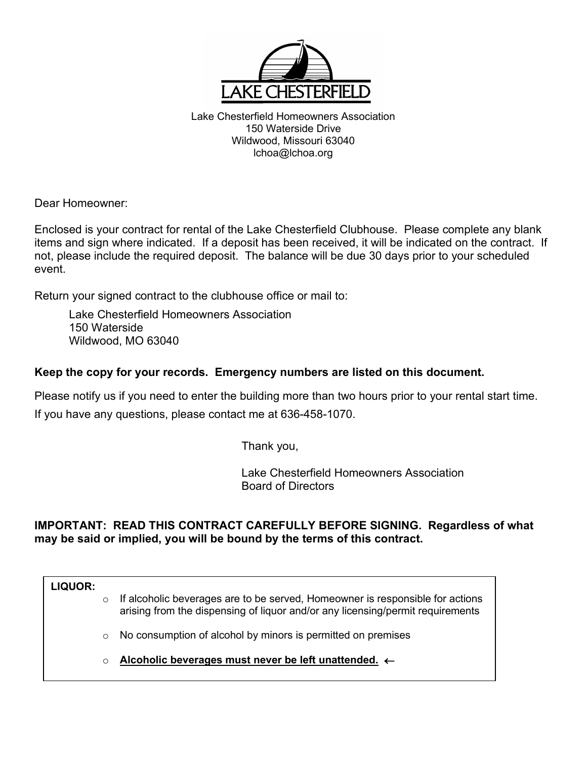

Lake Chesterfield Homeowners Association 150 Waterside Drive Wildwood, Missouri 63040 lchoa@lchoa.org

Dear Homeowner:

Enclosed is your contract for rental of the Lake Chesterfield Clubhouse. Please complete any blank items and sign where indicated. If a deposit has been received, it will be indicated on the contract. If not, please include the required deposit. The balance will be due 30 days prior to your scheduled event.

Return your signed contract to the clubhouse office or mail to:

Lake Chesterfield Homeowners Association 150 Waterside Wildwood, MO 63040

### **Keep the copy for your records. Emergency numbers are listed on this document.**

Please notify us if you need to enter the building more than two hours prior to your rental start time. If you have any questions, please contact me at 636-458-1070.

Thank you,

 Lake Chesterfield Homeowners Association Board of Directors

### **IMPORTANT: READ THIS CONTRACT CAREFULLY BEFORE SIGNING. Regardless of what may be said or implied, you will be bound by the terms of this contract.**

**LIQUOR:**

- $\circ$  If alcoholic beverages are to be served, Homeowner is responsible for actions arising from the dispensing of liquor and/or any licensing/permit requirements
- o No consumption of alcohol by minors is permitted on premises
- o **Alcoholic beverages must never be left unattended.** ←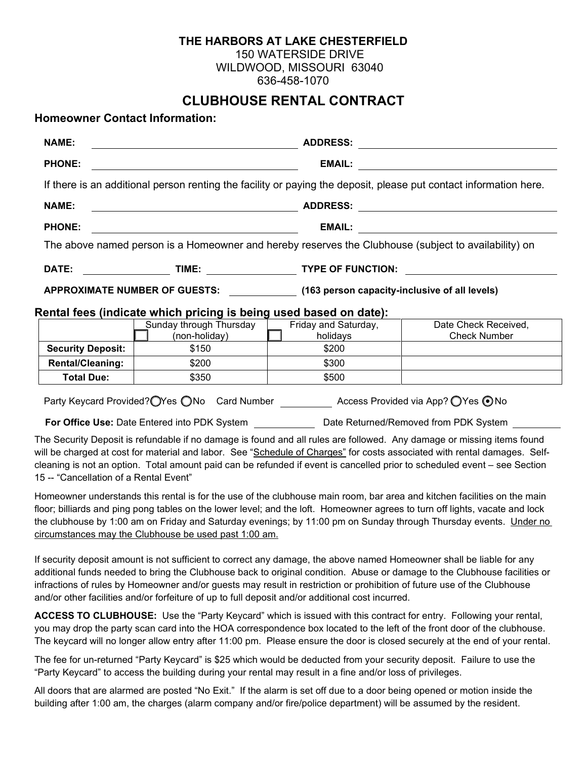### **THE HARBORS AT LAKE CHESTERFIELD**

150 WATERSIDE DRIVE

WILDWOOD, MISSOURI 63040

636-458-1070

# **CLUBHOUSE RENTAL CONTRACT**

### **Homeowner Contact Information:**

| <b>NAME:</b>                                                                                                                                                                                                                                                                                                                                                                                                                                                                                                                                                                                                      | <b>ADDRESS:</b><br><u> 1980 - Johann John Stein, markin santa shekara ta 1980 - An an tsara</u>                                                                                              |                                  |                                                                                                                   |  |  |
|-------------------------------------------------------------------------------------------------------------------------------------------------------------------------------------------------------------------------------------------------------------------------------------------------------------------------------------------------------------------------------------------------------------------------------------------------------------------------------------------------------------------------------------------------------------------------------------------------------------------|----------------------------------------------------------------------------------------------------------------------------------------------------------------------------------------------|----------------------------------|-------------------------------------------------------------------------------------------------------------------|--|--|
| <b>PHONE:</b>                                                                                                                                                                                                                                                                                                                                                                                                                                                                                                                                                                                                     | <u> 1980 - Johann Barbara, martxa alemaniar arg</u>                                                                                                                                          | <b>EMAIL:</b>                    |                                                                                                                   |  |  |
|                                                                                                                                                                                                                                                                                                                                                                                                                                                                                                                                                                                                                   |                                                                                                                                                                                              |                                  | If there is an additional person renting the facility or paying the deposit, please put contact information here. |  |  |
| <b>NAME:</b>                                                                                                                                                                                                                                                                                                                                                                                                                                                                                                                                                                                                      |                                                                                                                                                                                              |                                  |                                                                                                                   |  |  |
| <b>PHONE:</b>                                                                                                                                                                                                                                                                                                                                                                                                                                                                                                                                                                                                     | <b>EMAIL:</b><br><u> 1980 - Andrea Brand, amerikansk politik (</u><br><u> 1989 - Johann Stoff, deutscher Stoffen und der Stoffen und der Stoffen und der Stoffen und der Stoffen und der</u> |                                  |                                                                                                                   |  |  |
| The above named person is a Homeowner and hereby reserves the Clubhouse (subject to availability) on                                                                                                                                                                                                                                                                                                                                                                                                                                                                                                              |                                                                                                                                                                                              |                                  |                                                                                                                   |  |  |
| DATE:                                                                                                                                                                                                                                                                                                                                                                                                                                                                                                                                                                                                             | ______________________TIME: ________________________TYPE OF FUNCTION: _____________________________                                                                                          |                                  |                                                                                                                   |  |  |
| APPROXIMATE NUMBER OF GUESTS: (163 person capacity-inclusive of all levels)                                                                                                                                                                                                                                                                                                                                                                                                                                                                                                                                       |                                                                                                                                                                                              |                                  |                                                                                                                   |  |  |
| Rental fees (indicate which pricing is being used based on date):                                                                                                                                                                                                                                                                                                                                                                                                                                                                                                                                                 |                                                                                                                                                                                              |                                  |                                                                                                                   |  |  |
|                                                                                                                                                                                                                                                                                                                                                                                                                                                                                                                                                                                                                   | Sunday through Thursday<br>(non-holiday)                                                                                                                                                     | Friday and Saturday,<br>holidays | Date Check Received,<br><b>Check Number</b>                                                                       |  |  |
| <b>Security Deposit:</b>                                                                                                                                                                                                                                                                                                                                                                                                                                                                                                                                                                                          | \$150                                                                                                                                                                                        | \$200                            | the control of the control of the control of the control of the control of                                        |  |  |
| <b>Rental/Cleaning:</b>                                                                                                                                                                                                                                                                                                                                                                                                                                                                                                                                                                                           | \$200                                                                                                                                                                                        | \$300                            |                                                                                                                   |  |  |
| <b>Total Due:</b>                                                                                                                                                                                                                                                                                                                                                                                                                                                                                                                                                                                                 | \$350                                                                                                                                                                                        | \$500                            |                                                                                                                   |  |  |
| Party Keycard Provided? OYes ONo Card Number Access Provided via App? OYes ONo<br>For Office Use: Date Entered into PDK System ______________ Date Returned/Removed from PDK System<br>The Security Deposit is refundable if no damage is found and all rules are followed. Any damage or missing items found<br>will be charged at cost for material and labor. See "Schedule of Charges" for costs associated with rental damages. Self-<br>cleaning is not an option. Total amount paid can be refunded if event is cancelled prior to scheduled event – see Section<br>15 -- "Cancellation of a Rental Event" |                                                                                                                                                                                              |                                  |                                                                                                                   |  |  |

Homeowner understands this rental is for the use of the clubhouse main room, bar area and kitchen facilities on the main floor; billiards and ping pong tables on the lower level; and the loft. Homeowner agrees to turn off lights, vacate and lock the clubhouse by 1:00 am on Friday and Saturday evenings; by 11:00 pm on Sunday through Thursday events. Under no circumstances may the Clubhouse be used past 1:00 am.

If security deposit amount is not sufficient to correct any damage, the above named Homeowner shall be liable for any additional funds needed to bring the Clubhouse back to original condition. Abuse or damage to the Clubhouse facilities or infractions of rules by Homeowner and/or guests may result in restriction or prohibition of future use of the Clubhouse and/or other facilities and/or forfeiture of up to full deposit and/or additional cost incurred.

**ACCESS TO CLUBHOUSE:** Use the "Party Keycard" which is issued with this contract for entry. Following your rental, you may drop the party scan card into the HOA correspondence box located to the left of the front door of the clubhouse. The keycard will no longer allow entry after 11:00 pm. Please ensure the door is closed securely at the end of your rental.

The fee for un-returned "Party Keycard" is \$25 which would be deducted from your security deposit. Failure to use the "Party Keycard" to access the building during your rental may result in a fine and/or loss of privileges.

All doors that are alarmed are posted "No Exit." If the alarm is set off due to a door being opened or motion inside the building after 1:00 am, the charges (alarm company and/or fire/police department) will be assumed by the resident.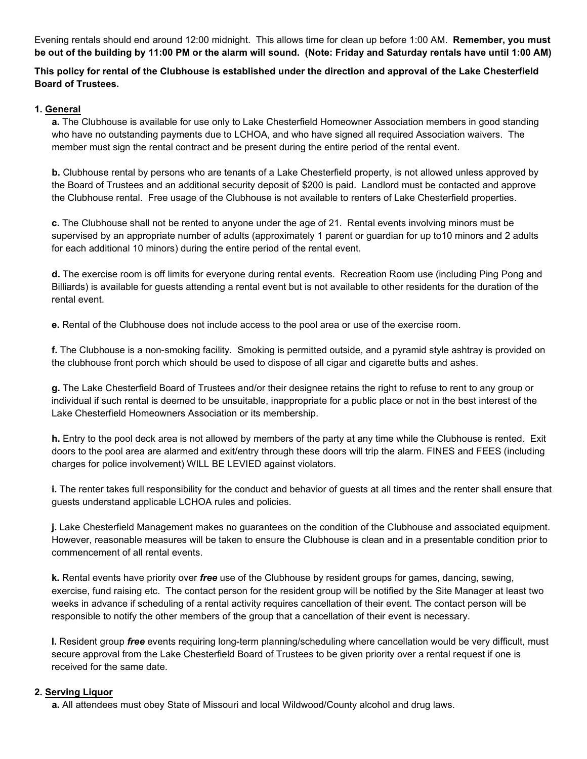Evening rentals should end around 12:00 midnight. This allows time for clean up before 1:00 AM. **Remember, you must be out of the building by 11:00 PM or the alarm will sound. (Note: Friday and Saturday rentals have until 1:00 AM)**

### **This policy for rental of the Clubhouse is established under the direction and approval of the Lake Chesterfield Board of Trustees.**

### **1. General**

**a.** The Clubhouse is available for use only to Lake Chesterfield Homeowner Association members in good standing who have no outstanding payments due to LCHOA, and who have signed all required Association waivers. The member must sign the rental contract and be present during the entire period of the rental event.

**b.** Clubhouse rental by persons who are tenants of a Lake Chesterfield property, is not allowed unless approved by the Board of Trustees and an additional security deposit of \$200 is paid. Landlord must be contacted and approve the Clubhouse rental. Free usage of the Clubhouse is not available to renters of Lake Chesterfield properties.

**c.** The Clubhouse shall not be rented to anyone under the age of 21. Rental events involving minors must be supervised by an appropriate number of adults (approximately 1 parent or guardian for up to10 minors and 2 adults for each additional 10 minors) during the entire period of the rental event.

**d.** The exercise room is off limits for everyone during rental events. Recreation Room use (including Ping Pong and Billiards) is available for guests attending a rental event but is not available to other residents for the duration of the rental event.

**e.** Rental of the Clubhouse does not include access to the pool area or use of the exercise room.

**f.** The Clubhouse is a non-smoking facility. Smoking is permitted outside, and a pyramid style ashtray is provided on the clubhouse front porch which should be used to dispose of all cigar and cigarette butts and ashes.

**g.** The Lake Chesterfield Board of Trustees and/or their designee retains the right to refuse to rent to any group or individual if such rental is deemed to be unsuitable, inappropriate for a public place or not in the best interest of the Lake Chesterfield Homeowners Association or its membership.

**h.** Entry to the pool deck area is not allowed by members of the party at any time while the Clubhouse is rented. Exit doors to the pool area are alarmed and exit/entry through these doors will trip the alarm. FINES and FEES (including charges for police involvement) WILL BE LEVIED against violators.

**i.** The renter takes full responsibility for the conduct and behavior of guests at all times and the renter shall ensure that guests understand applicable LCHOA rules and policies.

**j.** Lake Chesterfield Management makes no guarantees on the condition of the Clubhouse and associated equipment. However, reasonable measures will be taken to ensure the Clubhouse is clean and in a presentable condition prior to commencement of all rental events.

**k.** Rental events have priority over *free* use of the Clubhouse by resident groups for games, dancing, sewing, exercise, fund raising etc. The contact person for the resident group will be notified by the Site Manager at least two weeks in advance if scheduling of a rental activity requires cancellation of their event. The contact person will be responsible to notify the other members of the group that a cancellation of their event is necessary.

**l.** Resident group *free* events requiring long-term planning/scheduling where cancellation would be very difficult, must secure approval from the Lake Chesterfield Board of Trustees to be given priority over a rental request if one is received for the same date.

### **2. Serving Liquor**

**a.** All attendees must obey State of Missouri and local Wildwood/County alcohol and drug laws.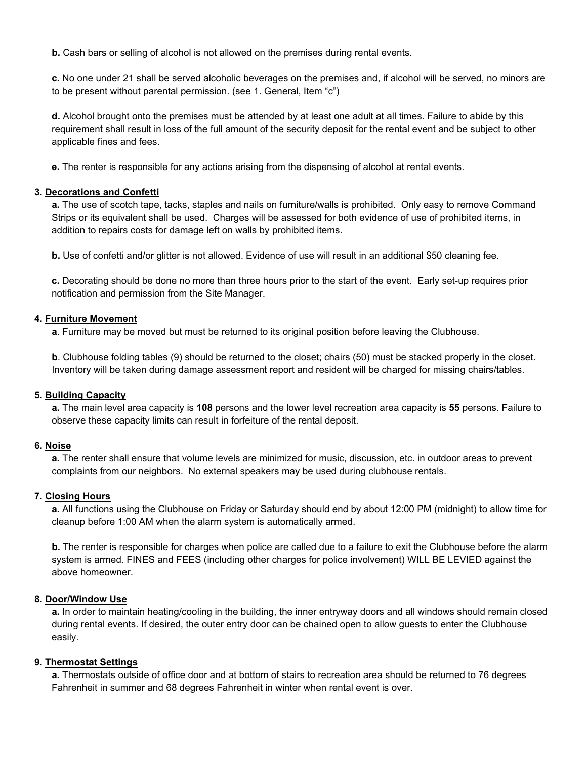**b.** Cash bars or selling of alcohol is not allowed on the premises during rental events.

**c.** No one under 21 shall be served alcoholic beverages on the premises and, if alcohol will be served, no minors are to be present without parental permission. (see 1. General, Item "c")

**d.** Alcohol brought onto the premises must be attended by at least one adult at all times. Failure to abide by this requirement shall result in loss of the full amount of the security deposit for the rental event and be subject to other applicable fines and fees.

**e.** The renter is responsible for any actions arising from the dispensing of alcohol at rental events.

### **3. Decorations and Confetti**

**a.** The use of scotch tape, tacks, staples and nails on furniture/walls is prohibited. Only easy to remove Command Strips or its equivalent shall be used. Charges will be assessed for both evidence of use of prohibited items, in addition to repairs costs for damage left on walls by prohibited items.

**b.** Use of confetti and/or glitter is not allowed. Evidence of use will result in an additional \$50 cleaning fee.

**c.** Decorating should be done no more than three hours prior to the start of the event. Early set-up requires prior notification and permission from the Site Manager.

### **4. Furniture Movement**

**a**. Furniture may be moved but must be returned to its original position before leaving the Clubhouse.

**b**. Clubhouse folding tables (9) should be returned to the closet; chairs (50) must be stacked properly in the closet. Inventory will be taken during damage assessment report and resident will be charged for missing chairs/tables.

### **5. Building Capacity**

**a.** The main level area capacity is **108** persons and the lower level recreation area capacity is **55** persons. Failure to observe these capacity limits can result in forfeiture of the rental deposit.

### **6. Noise**

**a.** The renter shall ensure that volume levels are minimized for music, discussion, etc. in outdoor areas to prevent complaints from our neighbors. No external speakers may be used during clubhouse rentals.

### **7. Closing Hours**

**a.** All functions using the Clubhouse on Friday or Saturday should end by about 12:00 PM (midnight) to allow time for cleanup before 1:00 AM when the alarm system is automatically armed.

**b.** The renter is responsible for charges when police are called due to a failure to exit the Clubhouse before the alarm system is armed. FINES and FEES (including other charges for police involvement) WILL BE LEVIED against the above homeowner.

### **8. Door/Window Use**

**a.** In order to maintain heating/cooling in the building, the inner entryway doors and all windows should remain closed during rental events. If desired, the outer entry door can be chained open to allow guests to enter the Clubhouse easily.

### **9. Thermostat Settings**

**a.** Thermostats outside of office door and at bottom of stairs to recreation area should be returned to 76 degrees Fahrenheit in summer and 68 degrees Fahrenheit in winter when rental event is over.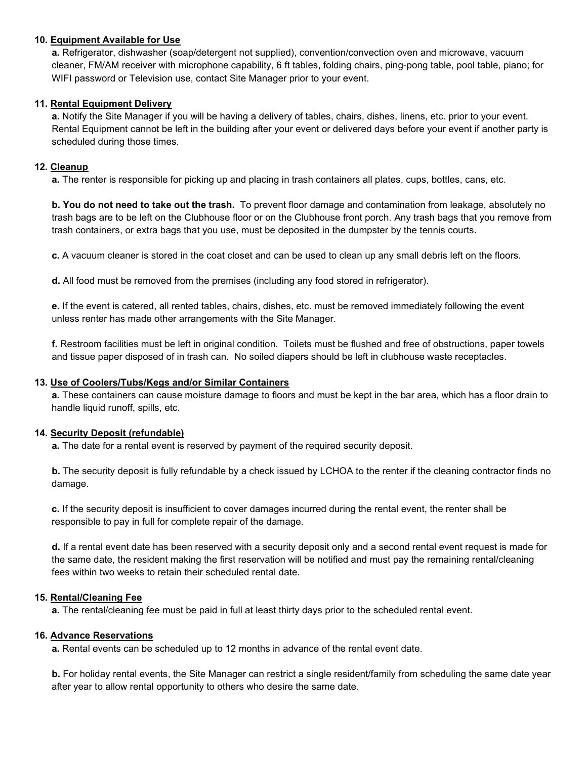### **10. Equipment Available for Use**

**a.** Refrigerator, dishwasher (soap/detergent not supplied), convention/convection oven and microwave, vacuum cleaner, FM/AM receiver with microphone capability, 6 ft tables, folding chairs, ping-pong table, pool table, piano; for WIFI password or Television use, contact Site Manager prior to your event.

### **11. Rental Equipment Delivery**

**a.** Notify the Site Manager if you will be having a delivery of tables, chairs, dishes, linens, etc. prior to your event. Rental Equipment cannot be left in the building after your event or delivered days before your event if another party is scheduled during those times.

### **12. Cleanup**

**a.** The renter is responsible for picking up and placing in trash containers all plates, cups, bottles, cans, etc.

**b. You do not need to take out the trash.** To prevent floor damage and contamination from leakage, absolutely no trash bags are to be left on the Clubhouse floor or on the Clubhouse front porch. Any trash bags that you remove from trash containers, or extra bags that you use, must be deposited in the dumpster by the tennis courts.

**c.** A vacuum cleaner is stored in the coat closet and can be used to clean up any small debris left on the floors.

**d.** All food must be removed from the premises (including any food stored in refrigerator).

**e.** If the event is catered, all rented tables, chairs, dishes, etc. must be removed immediately following the event unless renter has made other arrangements with the Site Manager.

**f.** Restroom facilities must be left in original condition. Toilets must be flushed and free of obstructions, paper towels and tissue paper disposed of in trash can. No soiled diapers should be left in clubhouse waste receptacles.

### **13. Use of Coolers/Tubs/Kegs and/or Similar Containers**

**a.** These containers can cause moisture damage to floors and must be kept in the bar area, which has a floor drain to handle liquid runoff, spills, etc.

### **14. Security Deposit (refundable)**

**a.** The date for a rental event is reserved by payment of the required security deposit.

**b.** The security deposit is fully refundable by a check issued by LCHOA to the renter if the cleaning contractor finds no damage.

**c.** If the security deposit is insufficient to cover damages incurred during the rental event, the renter shall be responsible to pay in full for complete repair of the damage.

**d.** If a rental event date has been reserved with a security deposit only and a second rental event request is made for the same date, the resident making the first reservation will be notified and must pay the remaining rental/cleaning fees within two weeks to retain their scheduled rental date.

### **15. Rental/Cleaning Fee**

**a.** The rental/cleaning fee must be paid in full at least thirty days prior to the scheduled rental event.

### **16. Advance Reservations**

**a.** Rental events can be scheduled up to 12 months in advance of the rental event date.

**b.** For holiday rental events, the Site Manager can restrict a single resident/family from scheduling the same date year after year to allow rental opportunity to others who desire the same date.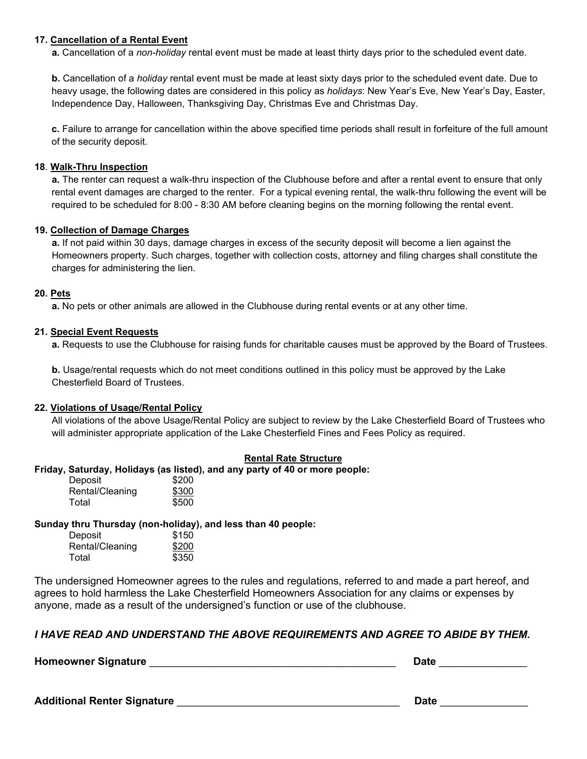### **17. Cancellation of a Rental Event**

**a.** Cancellation of a *non-holiday* rental event must be made at least thirty days prior to the scheduled event date.

**b.** Cancellation of a *holiday* rental event must be made at least sixty days prior to the scheduled event date. Due to heavy usage, the following dates are considered in this policy as *holidays*: New Year's Eve, New Year's Day, Easter, Independence Day, Halloween, Thanksgiving Day, Christmas Eve and Christmas Day.

**c.** Failure to arrange for cancellation within the above specified time periods shall result in forfeiture of the full amount of the security deposit.

### **18**. **Walk-Thru Inspection**

**a.** The renter can request a walk-thru inspection of the Clubhouse before and after a rental event to ensure that only rental event damages are charged to the renter. For a typical evening rental, the walk-thru following the event will be required to be scheduled for 8:00 - 8:30 AM before cleaning begins on the morning following the rental event.

### **19. Collection of Damage Charges**

**a.** If not paid within 30 days, damage charges in excess of the security deposit will become a lien against the Homeowners property. Such charges, together with collection costs, attorney and filing charges shall constitute the charges for administering the lien.

### **20. Pets**

**a.** No pets or other animals are allowed in the Clubhouse during rental events or at any other time.

### **21. Special Event Requests**

**a.** Requests to use the Clubhouse for raising funds for charitable causes must be approved by the Board of Trustees.

**b.** Usage/rental requests which do not meet conditions outlined in this policy must be approved by the Lake Chesterfield Board of Trustees.

### **22. Violations of Usage/Rental Policy**

All violations of the above Usage/Rental Policy are subject to review by the Lake Chesterfield Board of Trustees who will administer appropriate application of the Lake Chesterfield Fines and Fees Policy as required.

### **Rental Rate Structure**

### **Friday, Saturday, Holidays (as listed), and any party of 40 or more people:**

| Deposit         | \$200 |
|-----------------|-------|
| Rental/Cleaning | \$300 |
| Total           | \$500 |

### **Sunday thru Thursday (non-holiday), and less than 40 people:**

| Deposit         | \$150 |
|-----------------|-------|
| Rental/Cleaning | \$200 |
| Total           | \$350 |

The undersigned Homeowner agrees to the rules and regulations, referred to and made a part hereof, and agrees to hold harmless the Lake Chesterfield Homeowners Association for any claims or expenses by anyone, made as a result of the undersigned's function or use of the clubhouse.

### *I HAVE READ AND UNDERSTAND THE ABOVE REQUIREMENTS AND AGREE TO ABIDE BY THEM.*

**Homeowner Signature** \_\_\_\_\_\_\_\_\_\_\_\_\_\_\_\_\_\_\_\_\_\_\_\_\_\_\_\_\_\_\_\_\_\_\_\_\_\_\_\_\_\_ **Date** \_\_\_\_\_\_\_\_\_\_\_\_\_\_\_

**Additional Renter Signature** \_\_\_\_\_\_\_\_\_\_\_\_\_\_\_\_\_\_\_\_\_\_\_\_\_\_\_\_\_\_\_\_\_\_\_\_\_\_ **Date** \_\_\_\_\_\_\_\_\_\_\_\_\_\_\_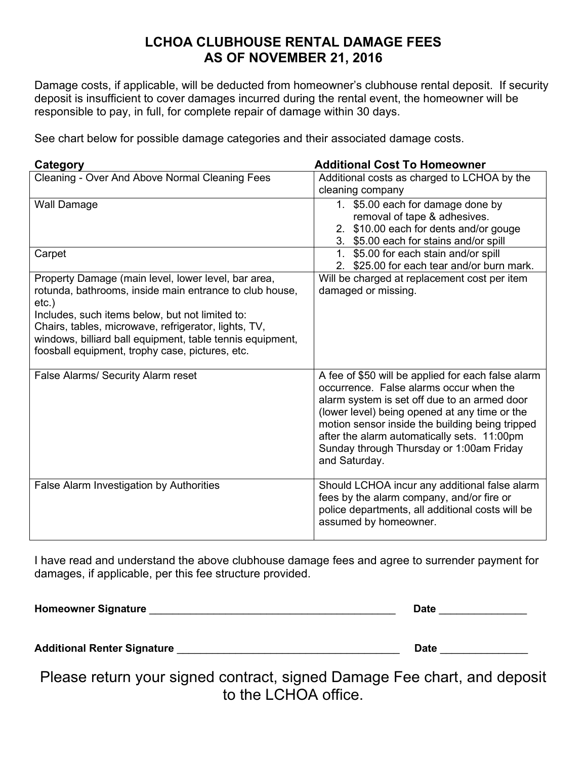# **LCHOA CLUBHOUSE RENTAL DAMAGE FEES AS OF NOVEMBER 21, 2016**

Damage costs, if applicable, will be deducted from homeowner's clubhouse rental deposit. If security deposit is insufficient to cover damages incurred during the rental event, the homeowner will be responsible to pay, in full, for complete repair of damage within 30 days.

See chart below for possible damage categories and their associated damage costs.

| Category                                                            | <b>Additional Cost To Homeowner</b>                                                        |  |
|---------------------------------------------------------------------|--------------------------------------------------------------------------------------------|--|
| Cleaning - Over And Above Normal Cleaning Fees                      | Additional costs as charged to LCHOA by the                                                |  |
|                                                                     | cleaning company                                                                           |  |
| <b>Wall Damage</b>                                                  | 1. \$5.00 each for damage done by                                                          |  |
|                                                                     | removal of tape & adhesives.                                                               |  |
|                                                                     | 2. \$10.00 each for dents and/or gouge                                                     |  |
|                                                                     | 3. \$5.00 each for stains and/or spill                                                     |  |
| Carpet                                                              | 1. \$5.00 for each stain and/or spill                                                      |  |
|                                                                     | 2. \$25.00 for each tear and/or burn mark.                                                 |  |
| Property Damage (main level, lower level, bar area,                 | Will be charged at replacement cost per item                                               |  |
| rotunda, bathrooms, inside main entrance to club house,<br>$etc.$ ) | damaged or missing.                                                                        |  |
| Includes, such items below, but not limited to:                     |                                                                                            |  |
| Chairs, tables, microwave, refrigerator, lights, TV,                |                                                                                            |  |
| windows, billiard ball equipment, table tennis equipment,           |                                                                                            |  |
| foosball equipment, trophy case, pictures, etc.                     |                                                                                            |  |
|                                                                     |                                                                                            |  |
| <b>False Alarms/ Security Alarm reset</b>                           | A fee of \$50 will be applied for each false alarm                                         |  |
|                                                                     | occurrence. False alarms occur when the                                                    |  |
|                                                                     | alarm system is set off due to an armed door                                               |  |
|                                                                     | (lower level) being opened at any time or the                                              |  |
|                                                                     | motion sensor inside the building being tripped                                            |  |
|                                                                     | after the alarm automatically sets. 11:00pm                                                |  |
|                                                                     | Sunday through Thursday or 1:00am Friday                                                   |  |
|                                                                     | and Saturday.                                                                              |  |
|                                                                     |                                                                                            |  |
| False Alarm Investigation by Authorities                            | Should LCHOA incur any additional false alarm<br>fees by the alarm company, and/or fire or |  |
|                                                                     | police departments, all additional costs will be                                           |  |
|                                                                     | assumed by homeowner.                                                                      |  |
|                                                                     |                                                                                            |  |

I have read and understand the above clubhouse damage fees and agree to surrender payment for damages, if applicable, per this fee structure provided.

| <b>Homeowner Signature</b>         | <b>Date</b> |  |
|------------------------------------|-------------|--|
| <b>Additional Renter Signature</b> | <b>Date</b> |  |

Please return your signed contract, signed Damage Fee chart, and deposit to the LCHOA office.